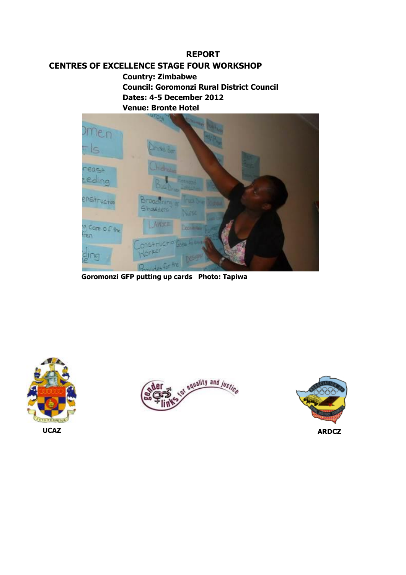# **REPORT**

# **CENTRES OF EXCELLENCE STAGE FOUR WORKSHOP**

**Country: Zimbabwe Council: Goromonzi Rural District Council Dates: 4-5 December 2012 Venue: Bronte Hotel**



 **Goromonzi GFP putting up cards Photo: Tapiwa**





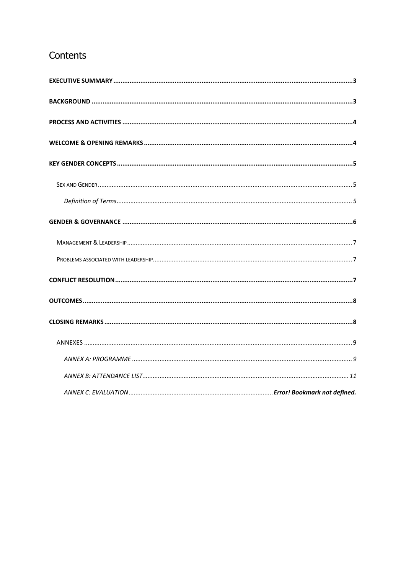# Contents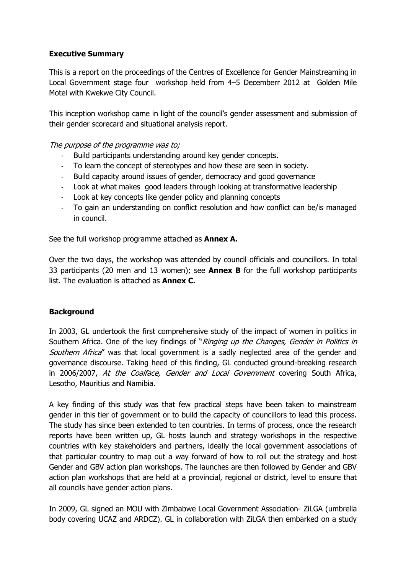# <span id="page-2-0"></span>**Executive Summary**

This is a report on the proceedings of the Centres of Excellence for Gender Mainstreaming in Local Government stage four workshop held from 4–5 Decemberr 2012 at Golden Mile Motel with Kwekwe City Council.

This inception workshop came in light of the council's gender assessment and submission of their gender scorecard and situational analysis report.

# The purpose of the programme was to;

- Build participants understanding around key gender concepts.
- To learn the concept of stereotypes and how these are seen in society.
- Build capacity around issues of gender, democracy and good governance
- Look at what makes good leaders through looking at transformative leadership
- Look at key concepts like gender policy and planning concepts
- To gain an understanding on conflict resolution and how conflict can be/is managed in council.

See the full workshop programme attached as **Annex A.** 

Over the two days, the workshop was attended by council officials and councillors. In total 33 participants (20 men and 13 women); see **Annex B** for the full workshop participants list. The evaluation is attached as **Annex C.**

# <span id="page-2-1"></span>**Background**

In 2003, GL undertook the first comprehensive study of the impact of women in politics in Southern Africa. One of the key findings of "Ringing up the Changes, Gender in Politics in Southern Africa" was that local government is a sadly neglected area of the gender and governance discourse. Taking heed of this finding, GL conducted ground-breaking research in 2006/2007, At the Coalface, Gender and Local Government covering South Africa, Lesotho, Mauritius and Namibia.

A key finding of this study was that few practical steps have been taken to mainstream gender in this tier of government or to build the capacity of councillors to lead this process. The study has since been extended to ten countries. In terms of process, once the research reports have been written up, GL hosts launch and strategy workshops in the respective countries with key stakeholders and partners, ideally the local government associations of that particular country to map out a way forward of how to roll out the strategy and host Gender and GBV action plan workshops. The launches are then followed by Gender and GBV action plan workshops that are held at a provincial, regional or district, level to ensure that all councils have gender action plans.

In 2009, GL signed an MOU with Zimbabwe Local Government Association- ZiLGA (umbrella body covering UCAZ and ARDCZ). GL in collaboration with ZiLGA then embarked on a study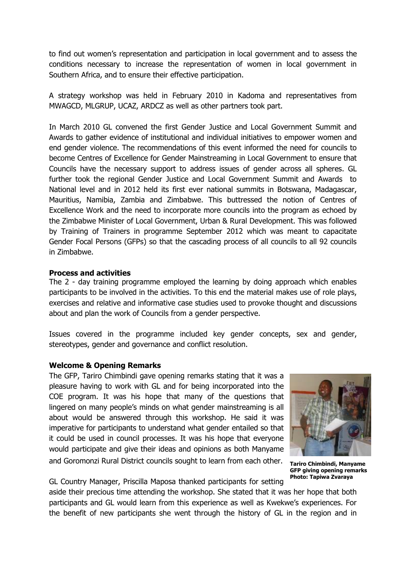to find out women's representation and participation in local government and to assess the conditions necessary to increase the representation of women in local government in Southern Africa, and to ensure their effective participation.

A strategy workshop was held in February 2010 in Kadoma and representatives from MWAGCD, MLGRUP, UCAZ, ARDCZ as well as other partners took part.

In March 2010 GL convened the first Gender Justice and Local Government Summit and Awards to gather evidence of institutional and individual initiatives to empower women and end gender violence. The recommendations of this event informed the need for councils to become Centres of Excellence for Gender Mainstreaming in Local Government to ensure that Councils have the necessary support to address issues of gender across all spheres. GL further took the regional Gender Justice and Local Government Summit and Awards to National level and in 2012 held its first ever national summits in Botswana, Madagascar, Mauritius, Namibia, Zambia and Zimbabwe. This buttressed the notion of Centres of Excellence Work and the need to incorporate more councils into the program as echoed by the Zimbabwe Minister of Local Government, Urban & Rural Development. This was followed by Training of Trainers in programme September 2012 which was meant to capacitate Gender Focal Persons (GFPs) so that the cascading process of all councils to all 92 councils in Zimbabwe.

#### <span id="page-3-0"></span>**Process and activities**

The 2 - day training programme employed the learning by doing approach which enables participants to be involved in the activities. To this end the material makes use of role plays, exercises and relative and informative case studies used to provoke thought and discussions about and plan the work of Councils from a gender perspective.

Issues covered in the programme included key gender concepts, sex and gender, stereotypes, gender and governance and conflict resolution.

# <span id="page-3-1"></span>**Welcome & Opening Remarks**

The GFP, Tariro Chimbindi gave opening remarks stating that it was a pleasure having to work with GL and for being incorporated into the COE program. It was his hope that many of the questions that lingered on many people's minds on what gender mainstreaming is all about would be answered through this workshop. He said it was imperative for participants to understand what gender entailed so that it could be used in council processes. It was his hope that everyone would participate and give their ideas and opinions as both Manyame and Goromonzi Rural District councils sought to learn from each other.



**Tariro Chimbindi, Manyame GFP giving opening remarks Photo: Tapiwa Zvaraya**

GL Country Manager, Priscilla Maposa thanked participants for setting aside their precious time attending the workshop. She stated that it was her hope that both

participants and GL would learn from this experience as well as Kwekwe's experiences. For the benefit of new participants she went through the history of GL in the region and in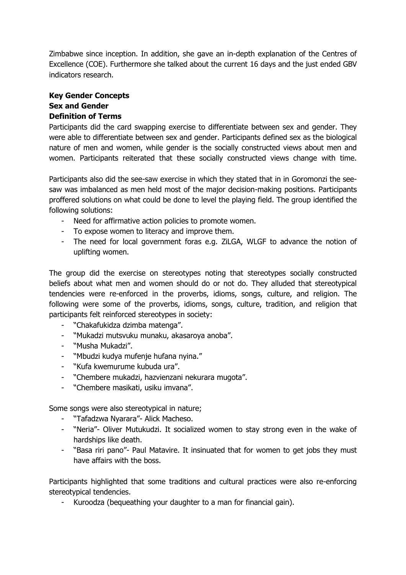Zimbabwe since inception. In addition, she gave an in-depth explanation of the Centres of Excellence (COE). Furthermore she talked about the current 16 days and the just ended GBV indicators research.

# <span id="page-4-1"></span><span id="page-4-0"></span>**Key Gender Concepts Sex and Gender Definition of Terms**

<span id="page-4-2"></span>Participants did the card swapping exercise to differentiate between sex and gender. They were able to differentiate between sex and gender. Participants defined sex as the biological nature of men and women, while gender is the socially constructed views about men and women. Participants reiterated that these socially constructed views change with time.

Participants also did the see-saw exercise in which they stated that in in Goromonzi the seesaw was imbalanced as men held most of the major decision-making positions. Participants proffered solutions on what could be done to level the playing field. The group identified the following solutions:

- Need for affirmative action policies to promote women.
- To expose women to literacy and improve them.
- The need for local government foras e.g. ZiLGA, WLGF to advance the notion of uplifting women.

The group did the exercise on stereotypes noting that stereotypes socially constructed beliefs about what men and women should do or not do. They alluded that stereotypical tendencies were re-enforced in the proverbs, idioms, songs, culture, and religion. The following were some of the proverbs, idioms, songs, culture, tradition, and religion that participants felt reinforced stereotypes in society:

- "Chakafukidza dzimba matenga".
- "Mukadzi mutsvuku munaku, akasaroya anoba".
- "Musha Mukadzi".
- "Mbudzi kudya mufenje hufana nyina."
- "Kufa kwemurume kubuda ura".
- "Chembere mukadzi, hazvienzani nekurara mugota".
- "Chembere masikati, usiku imvana".

Some songs were also stereotypical in nature;

- "Tafadzwa Nyarara"- Alick Macheso.
- "Neria"- Oliver Mutukudzi. It socialized women to stay strong even in the wake of hardships like death.
- "Basa riri pano"- Paul Matavire. It insinuated that for women to get jobs they must have affairs with the boss.

Participants highlighted that some traditions and cultural practices were also re-enforcing stereotypical tendencies.

Kuroodza (bequeathing your daughter to a man for financial gain).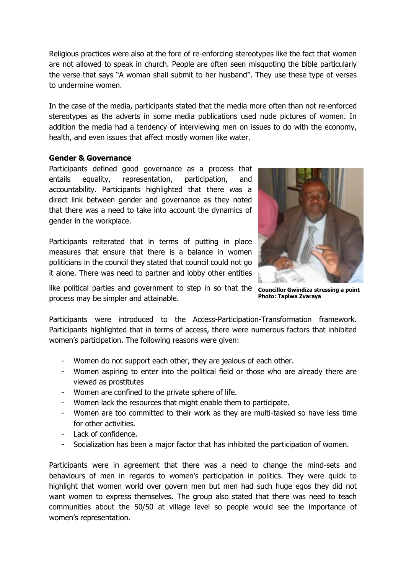Religious practices were also at the fore of re-enforcing stereotypes like the fact that women are not allowed to speak in church. People are often seen misquoting the bible particularly the verse that says "A woman shall submit to her husband". They use these type of verses to undermine women.

In the case of the media, participants stated that the media more often than not re-enforced stereotypes as the adverts in some media publications used nude pictures of women. In addition the media had a tendency of interviewing men on issues to do with the economy, health, and even issues that affect mostly women like water.

# <span id="page-5-0"></span>**Gender & Governance**

Participants defined good governance as a process that entails equality, representation, participation, and accountability. Participants highlighted that there was a direct link between gender and governance as they noted that there was a need to take into account the dynamics of gender in the workplace.

Participants reiterated that in terms of putting in place measures that ensure that there is a balance in women politicians in the council they stated that council could not go it alone. There was need to partner and lobby other entities



**Photo: Tapiwa Zvaraya**

like political parties and government to step in so that the councillor Gwindiza stressing a point process may be simpler and attainable.

Participants were introduced to the Access-Participation-Transformation framework. Participants highlighted that in terms of access, there were numerous factors that inhibited women's participation. The following reasons were given:

- Women do not support each other, they are jealous of each other.
- Women aspiring to enter into the political field or those who are already there are viewed as prostitutes
- Women are confined to the private sphere of life.
- Women lack the resources that might enable them to participate.
- Women are too committed to their work as they are multi-tasked so have less time for other activities.
- Lack of confidence.
- Socialization has been a major factor that has inhibited the participation of women.

Participants were in agreement that there was a need to change the mind-sets and behaviours of men in regards to women's participation in politics. They were quick to highlight that women world over govern men but men had such huge egos they did not want women to express themselves. The group also stated that there was need to teach communities about the 50/50 at village level so people would see the importance of women's representation.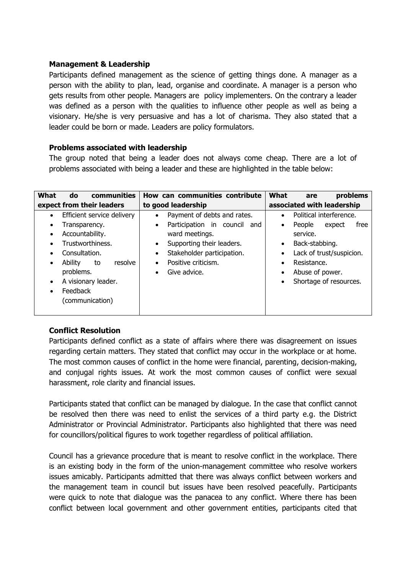# <span id="page-6-0"></span>**Management & Leadership**

Participants defined management as the science of getting things done. A manager as a person with the ability to plan, lead, organise and coordinate. A manager is a person who gets results from other people. Managers are policy implementers. On the contrary a leader was defined as a person with the qualities to influence other people as well as being a visionary. He/she is very persuasive and has a lot of charisma. They also stated that a leader could be born or made. Leaders are policy formulators.

## <span id="page-6-1"></span>**Problems associated with leadership**

The group noted that being a leader does not always come cheap. There are a lot of problems associated with being a leader and these are highlighted in the table below:

| What<br>communities<br>do                                                                                                                                  | How can communities contribute                                                                                                             | What<br>problems<br>are                                                                                                                         |  |  |  |  |  |
|------------------------------------------------------------------------------------------------------------------------------------------------------------|--------------------------------------------------------------------------------------------------------------------------------------------|-------------------------------------------------------------------------------------------------------------------------------------------------|--|--|--|--|--|
| expect from their leaders                                                                                                                                  | to good leadership                                                                                                                         | associated with leadership                                                                                                                      |  |  |  |  |  |
| Efficient service delivery<br>$\bullet$                                                                                                                    | Payment of debts and rates.<br>$\bullet$<br>Participation in council and                                                                   | Political interference.<br>$\bullet$<br>People<br>free                                                                                          |  |  |  |  |  |
| Transparency.<br>$\bullet$<br>Accountability.                                                                                                              | $\bullet$<br>ward meetings.                                                                                                                | expect<br>٠<br>service.                                                                                                                         |  |  |  |  |  |
| Trustworthiness.<br>$\bullet$<br>Consultation.<br>Ability<br>resolve<br>to<br>problems.<br>A visionary leader.<br>$\bullet$<br>Feedback<br>(communication) | Supporting their leaders.<br>$\bullet$<br>Stakeholder participation.<br>$\bullet$<br>Positive criticism.<br>٠<br>Give advice.<br>$\bullet$ | Back-stabbing.<br>$\bullet$<br>Lack of trust/suspicion.<br>٠<br>Resistance.<br>٠<br>Abuse of power.<br>٠<br>Shortage of resources.<br>$\bullet$ |  |  |  |  |  |

# <span id="page-6-2"></span>**Conflict Resolution**

Participants defined conflict as a state of affairs where there was disagreement on issues regarding certain matters. They stated that conflict may occur in the workplace or at home. The most common causes of conflict in the home were financial, parenting, decision-making, and conjugal rights issues. At work the most common causes of conflict were sexual harassment, role clarity and financial issues.

Participants stated that conflict can be managed by dialogue. In the case that conflict cannot be resolved then there was need to enlist the services of a third party e.g. the District Administrator or Provincial Administrator. Participants also highlighted that there was need for councillors/political figures to work together regardless of political affiliation.

Council has a grievance procedure that is meant to resolve conflict in the workplace. There is an existing body in the form of the union-management committee who resolve workers issues amicably. Participants admitted that there was always conflict between workers and the management team in council but issues have been resolved peacefully. Participants were quick to note that dialogue was the panacea to any conflict. Where there has been conflict between local government and other government entities, participants cited that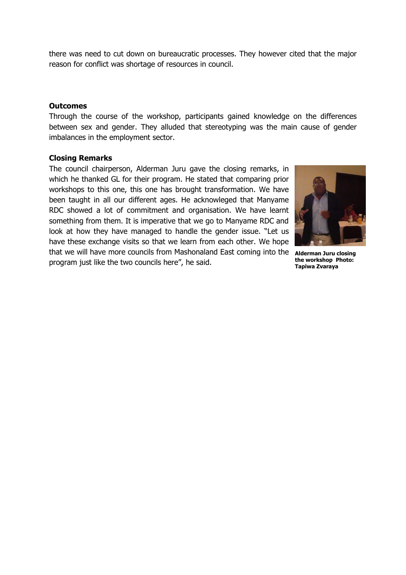there was need to cut down on bureaucratic processes. They however cited that the major reason for conflict was shortage of resources in council.

#### <span id="page-7-0"></span>**Outcomes**

Through the course of the workshop, participants gained knowledge on the differences between sex and gender. They alluded that stereotyping was the main cause of gender imbalances in the employment sector.

#### <span id="page-7-1"></span>**Closing Remarks**

<span id="page-7-2"></span>The council chairperson, Alderman Juru gave the closing remarks, in which he thanked GL for their program. He stated that comparing prior workshops to this one, this one has brought transformation. We have been taught in all our different ages. He acknowleged that Manyame RDC showed a lot of commitment and organisation. We have learnt something from them. It is imperative that we go to Manyame RDC and look at how they have managed to handle the gender issue. "Let us have these exchange visits so that we learn from each other. We hope that we will have more councils from Mashonaland East coming into the **Alderman Juru closing**  program just like the two councils here", he said.



**the workshop Photo: Tapiwa Zvaraya**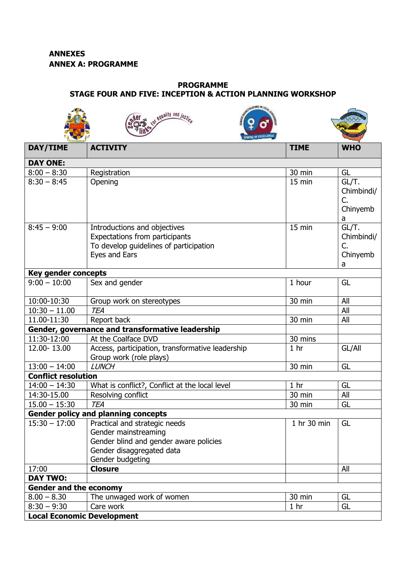**Local Economic Development**

#### <span id="page-8-0"></span>**PROGRAMME STAGE FOUR AND FIVE: INCEPTION & ACTION PLANNING WORKSHOP**

|                               | <b>SEAST AND IN CITE</b><br>or equality and justic.                                                                                              |                 |                                            |
|-------------------------------|--------------------------------------------------------------------------------------------------------------------------------------------------|-----------------|--------------------------------------------|
| DAY/TIME                      | <b>ACTIVITY</b>                                                                                                                                  | <b>TIME</b>     | <b>WHO</b>                                 |
| <b>DAY ONE:</b>               |                                                                                                                                                  |                 |                                            |
| $8:00 - 8:30$                 | Registration                                                                                                                                     | 30 min          | GL                                         |
| $8:30 - 8:45$                 | Opening                                                                                                                                          | 15 min          | GL/T.<br>Chimbindi/<br>C.<br>Chinyemb<br>a |
| $8:45 - 9:00$                 | Introductions and objectives<br>Expectations from participants<br>To develop guidelines of participation<br>Eyes and Ears                        | 15 min          | GL/T.<br>Chimbindi/<br>C.<br>Chinyemb<br>a |
| <b>Key gender concepts</b>    |                                                                                                                                                  |                 |                                            |
| $9:00 - 10:00$                | Sex and gender                                                                                                                                   | 1 hour          | GL                                         |
| 10:00-10:30                   | Group work on stereotypes                                                                                                                        | 30 min          | All                                        |
| $10:30 - 11.00$               | <b>TEA</b>                                                                                                                                       |                 | All                                        |
| 11.00-11:30                   | Report back                                                                                                                                      | 30 min          | All                                        |
|                               | Gender, governance and transformative leadership                                                                                                 |                 |                                            |
| 11:30-12:00                   | At the Coalface DVD                                                                                                                              | 30 mins         |                                            |
| 12.00-13.00                   | Access, participation, transformative leadership<br>Group work (role plays)                                                                      | 1 <sub>hr</sub> | GL/All                                     |
| $13:00 - 14:00$               | <b>LUNCH</b>                                                                                                                                     | 30 min          | GL                                         |
| <b>Conflict resolution</b>    |                                                                                                                                                  |                 |                                            |
| $14:00 - 14:30$               | What is conflict?, Conflict at the local level                                                                                                   | 1 <sub>hr</sub> | GL                                         |
| 14:30-15.00                   | Resolving conflict                                                                                                                               | 30 min          | All                                        |
| $15.00 - 15:30$               | <b>TEA</b>                                                                                                                                       | 30 min          | GL                                         |
|                               | <b>Gender policy and planning concepts</b>                                                                                                       |                 |                                            |
| $15:30 - 17:00$               | Practical and strategic needs<br>Gender mainstreaming<br>Gender blind and gender aware policies<br>Gender disaggregated data<br>Gender budgeting | 1 hr 30 min     | GL                                         |
| 17:00                         | <b>Closure</b>                                                                                                                                   |                 | All                                        |
| <b>DAY TWO:</b>               |                                                                                                                                                  |                 |                                            |
| <b>Gender and the economy</b> |                                                                                                                                                  |                 |                                            |
| $8.00 - 8.30$                 | The unwaged work of women                                                                                                                        | 30 min          | GL                                         |
| $8:30 - 9:30$                 | Care work                                                                                                                                        | 1 <sub>hr</sub> | GL                                         |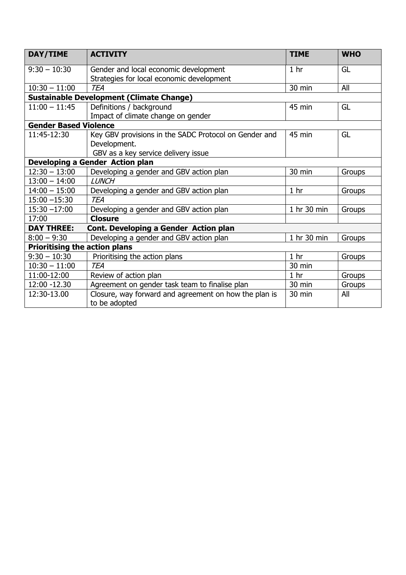| DAY/TIME                                        | <b>ACTIVITY</b>                                       | <b>TIME</b>     | <b>WHO</b> |
|-------------------------------------------------|-------------------------------------------------------|-----------------|------------|
| $9:30 - 10:30$                                  | Gender and local economic development                 | 1 <sub>hr</sub> | GL         |
|                                                 | Strategies for local economic development             |                 |            |
| $10:30 - 11:00$                                 | <b>TEA</b>                                            | 30 min          | All        |
| <b>Sustainable Development (Climate Change)</b> |                                                       |                 |            |
| $11:00 - 11:45$                                 | Definitions / background                              | 45 min          | GL         |
|                                                 | Impact of climate change on gender                    |                 |            |
| <b>Gender Based Violence</b>                    |                                                       |                 |            |
| 11:45-12:30                                     | Key GBV provisions in the SADC Protocol on Gender and | 45 min          | GL         |
|                                                 | Development.                                          |                 |            |
|                                                 | GBV as a key service delivery issue                   |                 |            |
|                                                 | Developing a Gender Action plan                       |                 |            |
| $12:30 - 13:00$                                 | Developing a gender and GBV action plan               | 30 min          | Groups     |
| $13:00 - 14:00$                                 | <b>LUNCH</b>                                          |                 |            |
| $14:00 - 15:00$                                 | Developing a gender and GBV action plan               | 1 <sub>hr</sub> | Groups     |
| $15:00 - 15:30$                                 | <b>TEA</b>                                            |                 |            |
| $15:30 - 17:00$                                 | Developing a gender and GBV action plan               | 1 hr 30 min     | Groups     |
| 17:00                                           | <b>Closure</b>                                        |                 |            |
| <b>DAY THREE:</b>                               | Cont. Developing a Gender Action plan                 |                 |            |
| $8:00 - 9:30$                                   | Developing a gender and GBV action plan               | 1 hr 30 min     | Groups     |
| <b>Prioritising the action plans</b>            |                                                       |                 |            |
| $9:30 - 10:30$                                  | Prioritising the action plans                         | 1 <sub>hr</sub> | Groups     |
| $10:30 - 11:00$                                 | <b>TEA</b>                                            | 30 min          |            |
| 11:00-12:00                                     | Review of action plan                                 | 1 <sub>hr</sub> | Groups     |
| 12:00 -12.30                                    | Agreement on gender task team to finalise plan        | 30 min          | Groups     |
| 12:30-13.00                                     | Closure, way forward and agreement on how the plan is | 30 min          | All        |
|                                                 | to be adopted                                         |                 |            |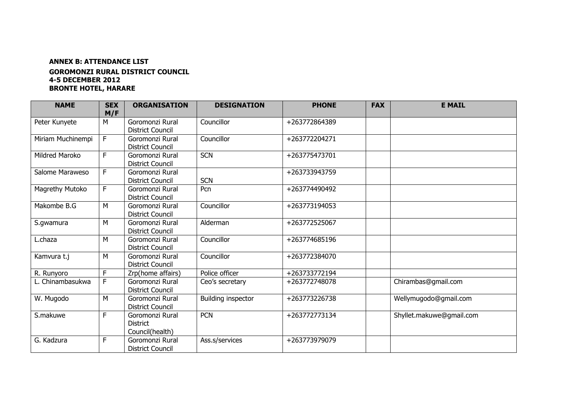### **ANNEX B: ATTENDANCE LIST**

#### **GOROMONZI RURAL DISTRICT COUNCIL 4-5 DECEMBER 2012 BRONTE HOTEL, HARARE**

<span id="page-10-0"></span>

| <b>NAME</b>           | <b>SEX</b><br>M/F | <b>ORGANISATION</b>                                   | <b>DESIGNATION</b> | <b>PHONE</b>  | <b>FAX</b> | <b>E MAIL</b>            |
|-----------------------|-------------------|-------------------------------------------------------|--------------------|---------------|------------|--------------------------|
| Peter Kunyete         | M                 | Goromonzi Rural<br><b>District Council</b>            | Councillor         | +263772864389 |            |                          |
| Miriam Muchinempi     | F                 | Goromonzi Rural<br><b>District Council</b>            | Councillor         | +263772204271 |            |                          |
| <b>Mildred Maroko</b> | F                 | Goromonzi Rural<br><b>District Council</b>            | <b>SCN</b>         | +263775473701 |            |                          |
| Salome Maraweso       | F.                | Goromonzi Rural<br><b>District Council</b>            | <b>SCN</b>         | +263733943759 |            |                          |
| Magrethy Mutoko       | F                 | Goromonzi Rural<br><b>District Council</b>            | Pcn                | +263774490492 |            |                          |
| Makombe B.G           | M                 | Goromonzi Rural<br><b>District Council</b>            | Councillor         | +263773194053 |            |                          |
| S.gwamura             | M                 | Goromonzi Rural<br><b>District Council</b>            | Alderman           | +263772525067 |            |                          |
| L.chaza               | M                 | Goromonzi Rural<br><b>District Council</b>            | Councillor         | +263774685196 |            |                          |
| Kamvura t.j           | M                 | Goromonzi Rural<br><b>District Council</b>            | Councillor         | +263772384070 |            |                          |
| R. Runyoro            | F                 | Zrp(home affairs)                                     | Police officer     | +263733772194 |            |                          |
| L. Chinambasukwa      | F                 | Goromonzi Rural<br><b>District Council</b>            | Ceo's secretary    | +263772748078 |            | Chirambas@gmail.com      |
| W. Mugodo             | M                 | Goromonzi Rural<br><b>District Council</b>            | Building inspector | +263773226738 |            | Wellymugodo@gmail.com    |
| S.makuwe              | F                 | Goromonzi Rural<br><b>District</b><br>Council(health) | <b>PCN</b>         | +263772773134 |            | Shyllet.makuwe@gmail.com |
| G. Kadzura            | F                 | Goromonzi Rural<br><b>District Council</b>            | Ass.s/services     | +263773979079 |            |                          |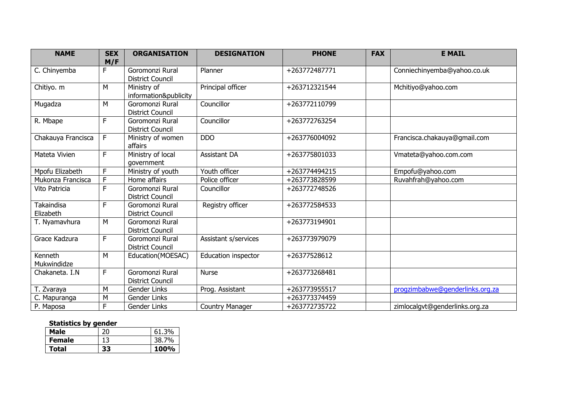| <b>NAME</b>                    | <b>SEX</b>   | <b>ORGANISATION</b>                        | <b>DESIGNATION</b>     | <b>PHONE</b><br><b>FAX</b> |  | <b>E MAIL</b>                   |
|--------------------------------|--------------|--------------------------------------------|------------------------|----------------------------|--|---------------------------------|
|                                | M/F          |                                            |                        |                            |  |                                 |
| C. Chinyemba                   | F            | Goromonzi Rural<br><b>District Council</b> | Planner                | +263772487771              |  | Conniechinyemba@yahoo.co.uk     |
| Chitiyo. m                     | M            | Ministry of<br>information&publicity       | Principal officer      | +263712321544              |  | Mchitiyo@yahoo.com              |
| Mugadza                        | M            | Goromonzi Rural<br><b>District Council</b> | Councillor             | +263772110799              |  |                                 |
| R. Mbape                       | F            | Goromonzi Rural<br><b>District Council</b> | Councillor             | +263772763254              |  |                                 |
| Chakauya Francisca             | $\mathsf{F}$ | Ministry of women<br>affairs               | <b>DDO</b>             | +263776004092              |  | Francisca.chakauya@gmail.com    |
| Mateta Vivien                  | F            | Ministry of local<br>government            | <b>Assistant DA</b>    | +263775801033              |  | Vmateta@yahoo.com.com           |
| Mpofu Elizabeth                | F            | Ministry of youth                          | Youth officer          | +263774494215              |  | Empofu@yahoo.com                |
| Mukonza Francisca              | F            | Home affairs                               | Police officer         | +263773828599              |  | Ruvahfrah@yahoo.com             |
| Vito Patricia                  | F            | Goromonzi Rural<br><b>District Council</b> | Councillor             | +263772748526              |  |                                 |
| <b>Takaindisa</b><br>Elizabeth | F            | Goromonzi Rural<br><b>District Council</b> | Registry officer       | +263772584533              |  |                                 |
| T. Nyamavhura                  | M            | Goromonzi Rural<br><b>District Council</b> |                        | +263773194901              |  |                                 |
| Grace Kadzura                  | F            | Goromonzi Rural<br><b>District Council</b> | Assistant s/services   | +263773979079              |  |                                 |
| Kenneth<br>Mukwindidze         | M            | Education(MOESAC)                          | Education inspector    | +26377528612               |  |                                 |
| Chakaneta. I.N                 | F            | Goromonzi Rural<br><b>District Council</b> | <b>Nurse</b>           | +263773268481              |  |                                 |
| T. Zvaraya                     | M            | Gender Links                               | Prog. Assistant        | +263773955517              |  | progzimbabwe@genderlinks.org.za |
| C. Mapuranga                   | M            | Gender Links                               |                        | +263773374459              |  |                                 |
| P. Maposa                      | F            | Gender Links                               | <b>Country Manager</b> | +263772735722              |  | zimlocalgyt@genderlinks.org.za  |

# **Statistics by gender**

| Male          | 20 | 61.3% |
|---------------|----|-------|
| <b>Female</b> | 13 | 38.7% |
| Total         | 33 | 100%  |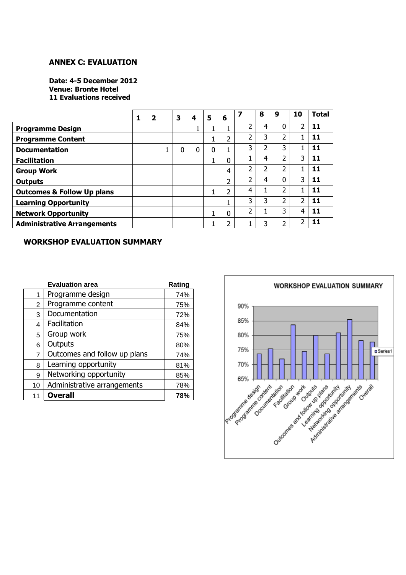#### **ANNEX C: EVALUATION**

**Date: 4-5 December 2012 Venue: Bronte Hotel 11 Evaluations received**

|                                       | $\mathbf{2}$ | 3 | 4 | 5 | 6                        |   | 8 | 9              | 10 | <b>Total</b> |
|---------------------------------------|--------------|---|---|---|--------------------------|---|---|----------------|----|--------------|
| <b>Programme Design</b>               |              |   |   |   |                          | 2 | 4 | 0              | フ  | 11           |
| <b>Programme Content</b>              |              |   |   |   | 2                        | ำ | 3 | ำ              |    | 11           |
| <b>Documentation</b>                  |              | 0 | 0 | 0 |                          | 3 |   | 3              |    | 11           |
| <b>Facilitation</b>                   |              |   |   |   | 0                        |   | 4 | ำ              | 3  | 11           |
| <b>Group Work</b>                     |              |   |   |   | 4                        | ำ | า | ว              |    | 11           |
| <b>Outputs</b>                        |              |   |   |   | 2                        | ำ | 4 | ი              | 3  | 11           |
| <b>Outcomes &amp; Follow Up plans</b> |              |   |   |   | 2                        | 4 |   | າ              |    | 11           |
| <b>Learning Opportunity</b>           |              |   |   |   |                          | 3 | 3 | $\overline{2}$ | ว  | 11           |
| <b>Network Opportunity</b>            |              |   |   |   | 0                        | ำ |   | 3              | 4  |              |
| <b>Administrative Arrangements</b>    |              |   |   |   | $\overline{\phantom{a}}$ |   |   | ำ              | ำ  |              |

#### **WORKSHOP EVALUATION SUMMARY**

|                | <b>Evaluation area</b>       | Rating |
|----------------|------------------------------|--------|
| 1              | Programme design             | 74%    |
| $\overline{2}$ | Programme content            | 75%    |
| 3              | Documentation                | 72%    |
| 4              | Facilitation                 | 84%    |
| 5              | Group work                   | 75%    |
| 6              | Outputs                      | 80%    |
| 7              | Outcomes and follow up plans | 74%    |
| 8              | Learning opportunity         | 81%    |
| 9              | Networking opportunity       | 85%    |
| 10             | Administrative arrangements  | 78%    |
| 11             | <b>Overall</b>               | 78%    |